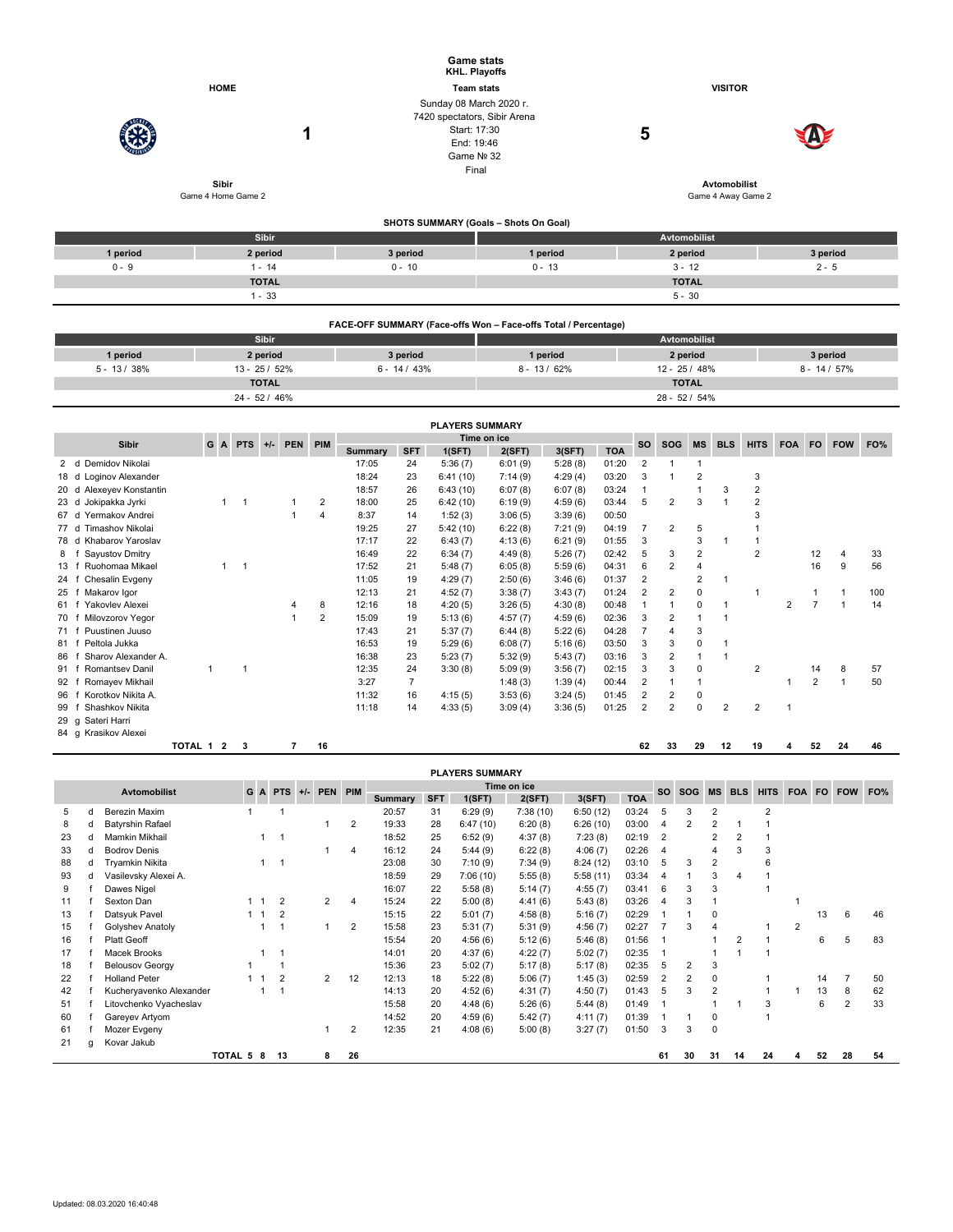|                |                                    | <b>Game stats</b><br>KHL. Playoffs                              |                                       |                                           |                 |  |  |  |  |  |  |  |
|----------------|------------------------------------|-----------------------------------------------------------------|---------------------------------------|-------------------------------------------|-----------------|--|--|--|--|--|--|--|
|                | <b>HOME</b>                        | <b>Team stats</b>                                               |                                       |                                           |                 |  |  |  |  |  |  |  |
|                |                                    | Sunday 08 March 2020 r.                                         |                                       |                                           |                 |  |  |  |  |  |  |  |
|                |                                    | 7420 spectators, Sibir Arena                                    |                                       |                                           |                 |  |  |  |  |  |  |  |
|                | 1                                  | Start: 17:30                                                    |                                       | 5                                         |                 |  |  |  |  |  |  |  |
|                |                                    | End: 19:46                                                      |                                       |                                           |                 |  |  |  |  |  |  |  |
|                |                                    |                                                                 | Game Nº 32<br>Final                   |                                           |                 |  |  |  |  |  |  |  |
|                |                                    |                                                                 |                                       |                                           |                 |  |  |  |  |  |  |  |
|                | <b>Sibir</b><br>Game 4 Home Game 2 |                                                                 |                                       | <b>Avtomobilist</b><br>Game 4 Away Game 2 |                 |  |  |  |  |  |  |  |
|                |                                    |                                                                 |                                       |                                           |                 |  |  |  |  |  |  |  |
|                |                                    |                                                                 | SHOTS SUMMARY (Goals - Shots On Goal) |                                           |                 |  |  |  |  |  |  |  |
|                | Sibir                              |                                                                 |                                       | Avtomobilist                              |                 |  |  |  |  |  |  |  |
| 1 period       | 2 period                           | 3 period                                                        | 1 period                              | 2 period                                  | 3 period        |  |  |  |  |  |  |  |
| $0 - 9$        | $1 - 14$                           | $0 - 10$                                                        | $0 - 13$                              | $3 - 12$                                  | $2 - 5$         |  |  |  |  |  |  |  |
|                | <b>TOTAL</b>                       |                                                                 |                                       | <b>TOTAL</b>                              |                 |  |  |  |  |  |  |  |
|                | $1 - 33$                           |                                                                 |                                       | $5 - 30$                                  |                 |  |  |  |  |  |  |  |
|                |                                    |                                                                 |                                       |                                           |                 |  |  |  |  |  |  |  |
|                |                                    | FACE-OFF SUMMARY (Face-offs Won - Face-offs Total / Percentage) |                                       |                                           |                 |  |  |  |  |  |  |  |
|                | <b>Sibir</b>                       |                                                                 |                                       | Avtomobilist                              |                 |  |  |  |  |  |  |  |
| 1 period       | 2 period                           | 3 period                                                        | 1 period                              | 2 period                                  | 3 period        |  |  |  |  |  |  |  |
| $5 - 13 / 38%$ | 13 - 25 / 52%                      | $6 - 14 / 43%$                                                  | $8 - 13 / 62%$                        | 12 - 25 / 48%                             | $8 - 14 / 57\%$ |  |  |  |  |  |  |  |
|                | <b>TOTAL</b>                       |                                                                 |                                       | <b>TOTAL</b>                              |                 |  |  |  |  |  |  |  |
|                | 24 - 52 / 46%                      |                                                                 |                                       | 28 - 52 / 54%                             |                 |  |  |  |  |  |  |  |

|                 |                                   |                                                                      |   |              |  |   |                |                |                | <b>PLAYERS SUMMARY</b> |         |         |            |                |           |            |                |                |           |            |     |     |
|-----------------|-----------------------------------|----------------------------------------------------------------------|---|--------------|--|---|----------------|----------------|----------------|------------------------|---------|---------|------------|----------------|-----------|------------|----------------|----------------|-----------|------------|-----|-----|
|                 | <b>Sibir</b>                      | Time on ice<br>GA<br>$+/-$<br><b>PEN</b><br><b>PIM</b><br><b>PTS</b> |   |              |  |   |                |                |                |                        |         |         | <b>SO</b>  | <b>SOG</b>     | <b>MS</b> | <b>BLS</b> | <b>HITS</b>    | <b>FOA</b>     | <b>FO</b> | <b>FOW</b> | FO% |     |
|                 |                                   |                                                                      |   |              |  |   |                | <b>Summary</b> | <b>SFT</b>     | 1(SFT)                 | 2(SFT)  | 3(SFT)  | <b>TOA</b> |                |           |            |                |                |           |            |     |     |
|                 | Demidov Nikolai<br>2 <sub>d</sub> |                                                                      |   |              |  |   |                | 17:05          | 24             | 5:36(7)                | 6:01(9) | 5:28(8) | 01:20      | $\overline{2}$ |           |            |                |                |           |            |     |     |
| 18 d            | Loginov Alexander                 |                                                                      |   |              |  |   |                | 18:24          | 23             | 6:41(10)               | 7:14(9) | 4:29(4) | 03:20      | 3              |           | 2          |                | 3              |           |            |     |     |
| 20 <sub>d</sub> | Alexeyev Konstantin               |                                                                      |   |              |  |   |                | 18:57          | 26             | 6:43(10)               | 6:07(8) | 6:07(8) | 03:24      | $\mathbf 1$    |           |            | 3              | $\overline{2}$ |           |            |     |     |
| 23d             | Jokipakka Jyrki                   |                                                                      | 1 | $\mathbf{1}$ |  |   | 2              | 18:00          | 25             | 6:42(10)               | 6:19(9) | 4:59(6) | 03:44      | 5              | 2         | 3          |                | $\overline{2}$ |           |            |     |     |
| 67 d            | Yermakov Andrei                   |                                                                      |   |              |  |   | $\overline{4}$ | 8:37           | 14             | 1:52(3)                | 3:06(5) | 3:39(6) | 00:50      |                |           |            |                | 3              |           |            |     |     |
| 77 d            | Timashov Nikolai                  |                                                                      |   |              |  |   |                | 19:25          | 27             | 5:42(10)               | 6:22(8) | 7:21(9) | 04:19      | 7              | 2         | 5          |                |                |           |            |     |     |
| 78 d            | Khabarov Yaroslav                 |                                                                      |   |              |  |   |                | 17:17          | 22             | 6:43(7)                | 4:13(6) | 6:21(9) | 01:55      | 3              |           | 3          |                |                |           |            |     |     |
| 8               | Sayustov Dmitry                   |                                                                      |   |              |  |   |                | 16:49          | 22             | 6:34(7)                | 4:49(8) | 5:26(7) | 02:42      | 5              | 3         | 2          |                | $\overline{2}$ |           | 12         | 4   | 33  |
| $13 \quad 1$    | Ruohomaa Mikael                   |                                                                      |   | 1            |  |   |                | 17:52          | 21             | 5:48(7)                | 6:05(8) | 5:59(6) | 04:31      | 6              | 2         | 4          |                |                |           | 16         | 9   | 56  |
| 24 f            | Chesalin Evgeny                   |                                                                      |   |              |  |   |                | 11:05          | 19             | 4:29(7)                | 2:50(6) | 3:46(6) | 01:37      | $\overline{2}$ |           | 2          | 1              |                |           |            |     |     |
| 25              | Makarov Igor                      |                                                                      |   |              |  |   |                | 12:13          | 21             | 4:52(7)                | 3:38(7) | 3:43(7) | 01:24      | $\overline{2}$ | 2         | 0          |                |                |           |            |     | 100 |
| 61              | Yakovlev Alexei                   |                                                                      |   |              |  | 4 | 8              | 12:16          | 18             | 4:20(5)                | 3:26(5) | 4:30(8) | 00:48      |                |           | 0          |                |                | 2         |            |     | 14  |
| 70 1            | Milovzorov Yegor                  |                                                                      |   |              |  |   | $\overline{2}$ | 15:09          | 19             | 5:13(6)                | 4:57(7) | 4:59(6) | 02:36      | 3              | 2         |            | -1             |                |           |            |     |     |
| 71 f            | Puustinen Juuso                   |                                                                      |   |              |  |   |                | 17:43          | 21             | 5:37(7)                | 6:44(8) | 5:22(6) | 04:28      |                | 4         | 3          |                |                |           |            |     |     |
| 81              | Peltola Jukka                     |                                                                      |   |              |  |   |                | 16:53          | 19             | 5:29(6)                | 6:08(7) | 5:16(6) | 03:50      | 3              | 3         | 0          |                |                |           |            |     |     |
| 86              | Sharov Alexander A.               |                                                                      |   |              |  |   |                | 16:38          | 23             | 5:23(7)                | 5:32(9) | 5:43(7) | 03:16      | 3              | 2         |            | 1              |                |           |            |     |     |
| 91              | <b>Romantsey Danil</b>            |                                                                      |   | 1            |  |   |                | 12:35          | 24             | 3:30(8)                | 5:09(9) | 3:56(7) | 02:15      | 3              | 3         | 0          |                | $\overline{2}$ |           | 14         | 8   | 57  |
| 92              | Romayev Mikhail                   |                                                                      |   |              |  |   |                | 3:27           | $\overline{7}$ |                        | 1:48(3) | 1:39(4) | 00:44      | 2              |           |            |                |                |           | 2          |     | 50  |
| 96              | Korotkov Nikita A.                |                                                                      |   |              |  |   |                | 11:32          | 16             | 4:15(5)                | 3:53(6) | 3:24(5) | 01:45      | 2              | 2         | 0          |                |                |           |            |     |     |
| 99              | Shashkov Nikita                   |                                                                      |   |              |  |   |                | 11:18          | 14             | 4:33(5)                | 3:09(4) | 3:36(5) | 01:25      | 2              | 2         | 0          | $\overline{2}$ | 2              |           |            |     |     |
| 29 <sub>g</sub> | Sateri Harri                      |                                                                      |   |              |  |   |                |                |                |                        |         |         |            |                |           |            |                |                |           |            |     |     |
|                 | 84 g Krasikov Alexei              |                                                                      |   |              |  |   |                |                |                |                        |         |         |            |                |           |            |                |                |           |            |     |     |

| TOTAL | 16 | 62<br>the contract of the contract of the | 33 | 29 | 12 | 19 | " | <br>52<br>the contract of the contract of | 24 | 46 |  |
|-------|----|-------------------------------------------|----|----|----|----|---|-------------------------------------------|----|----|--|
|       |    |                                           |    |    |    |    |   |                                           |    |    |  |

|    |   |                         |         |   |                         |                     |                |            |        | <b>PLAYERS SUMMARY</b> |             |            |       |           |                |                |                |             |            |           |                |     |
|----|---|-------------------------|---------|---|-------------------------|---------------------|----------------|------------|--------|------------------------|-------------|------------|-------|-----------|----------------|----------------|----------------|-------------|------------|-----------|----------------|-----|
|    |   | <b>Avtomobilist</b>     |         |   |                         | G A PTS +/- PEN PIM |                |            |        |                        | Time on ice |            |       | <b>SO</b> | <b>SOG</b>     | <b>MS</b>      | <b>BLS</b>     | <b>HITS</b> | <b>FOA</b> | <b>FO</b> | <b>FOW</b>     | FO% |
|    |   |                         |         |   |                         |                     | Summary        | <b>SFT</b> | 1(SFT) | 2(SFT)                 | 3(SFT)      | <b>TOA</b> |       |           |                |                |                |             |            |           |                |     |
| 5  | d | Berezin Maxim           |         |   |                         |                     |                | 20:57      | 31     | 6:29(9)                | 7:38(10)    | 6:50(12)   | 03:24 | 5         | 3              | 2              |                | 2           |            |           |                |     |
| 8  | d | <b>Batyrshin Rafael</b> |         |   |                         |                     | $\overline{2}$ | 19:33      | 28     | 6:47(10)               | 6:20(8)     | 6:26(10)   | 03:00 | 4         | 2              |                |                |             |            |           |                |     |
| 23 | d | Mamkin Mikhail          |         |   | $\overline{\mathbf{1}}$ |                     |                | 18:52      | 25     | 6:52(9)                | 4:37(8)     | 7:23(8)    | 02:19 | 2         |                | $\overline{2}$ | 2              |             |            |           |                |     |
| 33 | d | <b>Bodrov Denis</b>     |         |   |                         |                     | 4              | 16:12      | 24     | 5:44(9)                | 6:22(8)     | 4:06(7)    | 02:26 | 4         |                | 4              |                |             |            |           |                |     |
| 88 | d | Tryamkin Nikita         |         |   |                         |                     |                | 23:08      | 30     | 7:10(9)                | 7:34(9)     | 8:24(12)   | 03:10 | 5         | 3              | $\overline{2}$ |                |             |            |           |                |     |
| 93 | d | Vasilevsky Alexei A.    |         |   |                         |                     |                | 18:59      | 29     | 7:06(10)               | 5:55(8)     | 5:58(11)   | 03:34 | 4         |                | 3              | 4              |             |            |           |                |     |
| 9  |   | Dawes Nigel             |         |   |                         |                     |                | 16:07      | 22     | 5:58(8)                | 5:14(7)     | 4:55(7)    | 03:41 | 6         | 3              | 3              |                |             |            |           |                |     |
| 11 |   | Sexton Dan              |         |   | 2                       | $\overline{2}$      | 4              | 15:24      | 22     | 5:00(8)                | 4:41(6)     | 5:43(8)    | 03:26 | 4         | 3              |                |                |             |            |           |                |     |
| 13 |   | Datsyuk Pavel           |         |   | $\overline{2}$          |                     |                | 15:15      | 22     | 5:01(7)                | 4:58(8)     | 5:16(7)    | 02:29 |           |                | 0              |                |             |            | 13        | 6              | 46  |
| 15 |   | Golyshev Anatoly        |         |   |                         |                     | $\overline{2}$ | 15:58      | 23     | 5:31(7)                | 5:31(9)     | 4:56(7)    | 02:27 |           | 3              | 4              |                |             | 2          |           |                |     |
| 16 |   | <b>Platt Geoff</b>      |         |   |                         |                     |                | 15:54      | 20     | 4:56(6)                | 5:12(6)     | 5:46(8)    | 01:56 |           |                |                | $\overline{2}$ |             |            | 6         | 5              | 83  |
| 17 |   | Macek Brooks            |         |   |                         |                     |                | 14:01      | 20     | 4:37(6)                | 4:22(7)     | 5:02(7)    | 02:35 |           |                |                |                |             |            |           |                |     |
| 18 |   | <b>Belousov Georgy</b>  |         |   |                         |                     |                | 15:36      | 23     | 5:02(7)                | 5:17(8)     | 5:17(8)    | 02:35 | 5         | $\overline{2}$ | 3              |                |             |            |           |                |     |
| 22 |   | <b>Holland Peter</b>    |         |   | $\overline{2}$          | $\overline{2}$      | 12             | 12:13      | 18     | 5:22(8)                | 5:06(7)     | 1:45(3)    | 02:59 | 2         | 2              | 0              |                |             |            | 14        |                | 50  |
| 42 |   | Kucheryavenko Alexander |         |   |                         |                     |                | 14:13      | 20     | 4:52(6)                | 4:31(7)     | 4:50(7)    | 01:43 | 5         | 3              |                |                |             |            | 13        | 8              | 62  |
| 51 |   | Litovchenko Vyacheslav  |         |   |                         |                     |                | 15:58      | 20     | 4:48(6)                | 5:26(6)     | 5:44(8)    | 01:49 |           |                |                |                |             |            | 6         | $\overline{2}$ | 33  |
| 60 |   | Gareyev Artyom          |         |   |                         |                     |                | 14:52      | 20     | 4:59(6)                | 5:42(7)     | 4:11(7)    | 01:39 |           |                | 0              |                |             |            |           |                |     |
| 61 |   | Mozer Evgeny            |         |   |                         |                     | 2              | 12:35      | 21     | 4:08(6)                | 5:00(8)     | 3:27(7)    | 01:50 | 3         | 3              | $\mathbf 0$    |                |             |            |           |                |     |
| 21 | q | Kovar Jakub             |         |   |                         |                     |                |            |        |                        |             |            |       |           |                |                |                |             |            |           |                |     |
|    |   |                         | TOTAL 5 | 8 | 13                      | 8                   | 26             |            |        |                        |             |            |       | 61        | 30             | 31             | 14             | 24          |            | 52        | 28             | 54  |